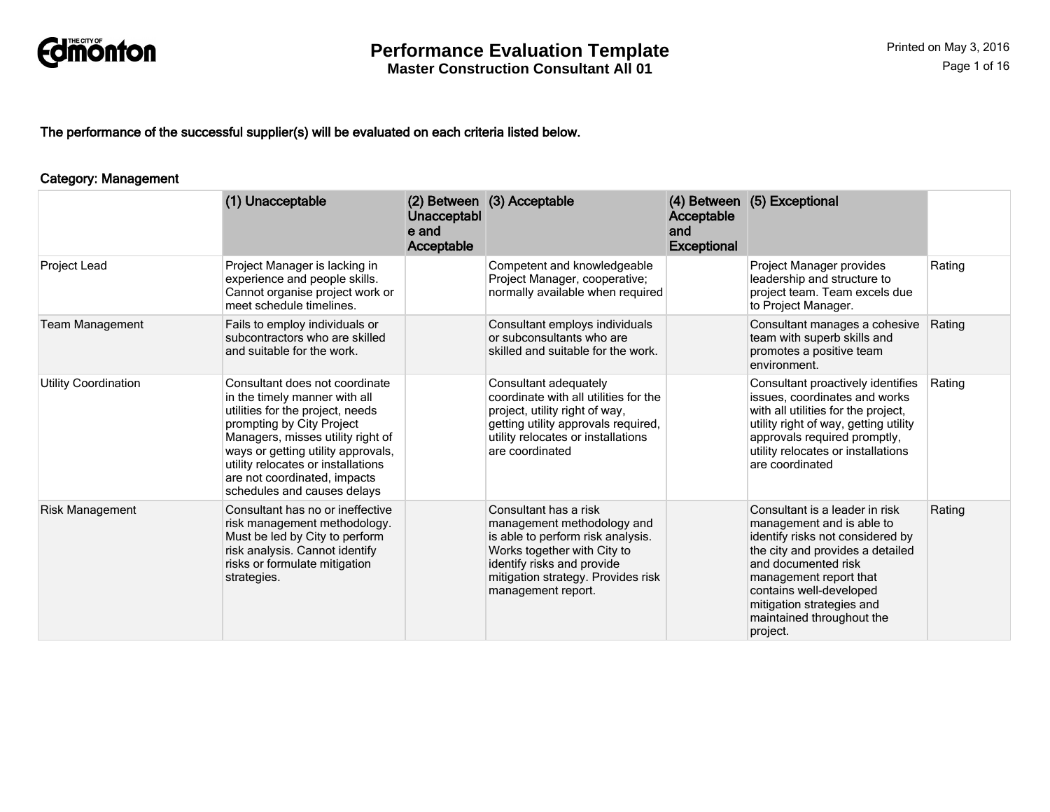

The performance of the successful supplier(s) will be evaluated on each criteria listed below.

#### Category: Management

|                        | (1) Unacceptable                                                                                                                                                                                                                                                                                                 | Unacceptabl<br>e and<br>Acceptable | (2) Between (3) Acceptable                                                                                                                                                                                        | Acceptable<br>and<br><b>Exceptional</b> | (4) Between (5) Exceptional                                                                                                                                                                                                                                                           |        |
|------------------------|------------------------------------------------------------------------------------------------------------------------------------------------------------------------------------------------------------------------------------------------------------------------------------------------------------------|------------------------------------|-------------------------------------------------------------------------------------------------------------------------------------------------------------------------------------------------------------------|-----------------------------------------|---------------------------------------------------------------------------------------------------------------------------------------------------------------------------------------------------------------------------------------------------------------------------------------|--------|
| Project Lead           | Project Manager is lacking in<br>experience and people skills.<br>Cannot organise project work or<br>meet schedule timelines.                                                                                                                                                                                    |                                    | Competent and knowledgeable<br>Project Manager, cooperative;<br>normally available when required                                                                                                                  |                                         | Project Manager provides<br>leadership and structure to<br>project team. Team excels due<br>to Project Manager.                                                                                                                                                                       | Rating |
| <b>Team Management</b> | Fails to employ individuals or<br>subcontractors who are skilled<br>and suitable for the work.                                                                                                                                                                                                                   |                                    | Consultant employs individuals<br>or subconsultants who are<br>skilled and suitable for the work.                                                                                                                 |                                         | Consultant manages a cohesive<br>team with superb skills and<br>promotes a positive team<br>environment.                                                                                                                                                                              | Rating |
| Utility Coordination   | Consultant does not coordinate<br>in the timely manner with all<br>utilities for the project, needs<br>prompting by City Project<br>Managers, misses utility right of<br>ways or getting utility approvals,<br>utility relocates or installations<br>are not coordinated, impacts<br>schedules and causes delays |                                    | Consultant adequately<br>coordinate with all utilities for the<br>project, utility right of way,<br>getting utility approvals required,<br>utility relocates or installations<br>are coordinated                  |                                         | Consultant proactively identifies<br>issues, coordinates and works<br>with all utilities for the project,<br>utility right of way, getting utility<br>approvals required promptly,<br>utility relocates or installations<br>are coordinated                                           | Rating |
| <b>Risk Management</b> | Consultant has no or ineffective<br>risk management methodology.<br>Must be led by City to perform<br>risk analysis. Cannot identify<br>risks or formulate mitigation<br>strategies.                                                                                                                             |                                    | Consultant has a risk<br>management methodology and<br>is able to perform risk analysis.<br>Works together with City to<br>identify risks and provide<br>mitigation strategy. Provides risk<br>management report. |                                         | Consultant is a leader in risk<br>management and is able to<br>identify risks not considered by<br>the city and provides a detailed<br>and documented risk<br>management report that<br>contains well-developed<br>mitigation strategies and<br>maintained throughout the<br>project. | Rating |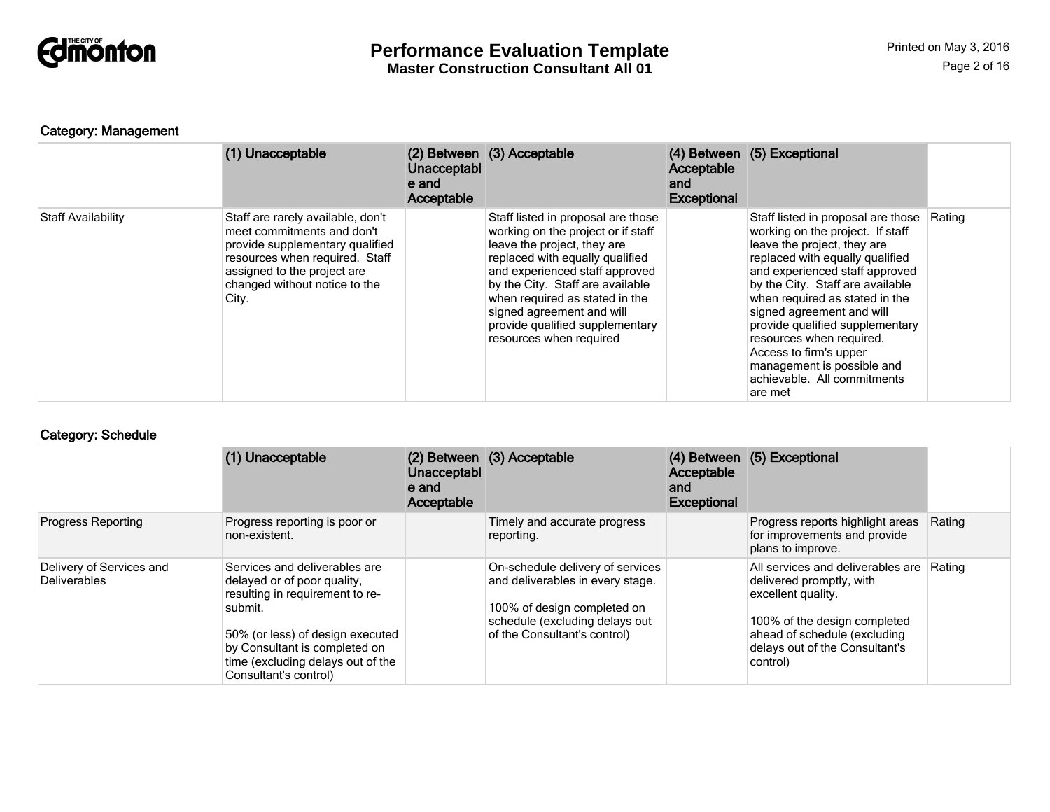

### Category: Management

|                           | (1) Unacceptable                                                                                                                                                                                              | Unacceptabl<br>e and<br>Acceptable | (2) Between (3) Acceptable                                                                                                                                                                                                                                                                                                                    | Acceptable<br>and<br><b>Exceptional</b> | (4) Between (5) Exceptional                                                                                                                                                                                                                                                                                                                                                                                                                    |        |
|---------------------------|---------------------------------------------------------------------------------------------------------------------------------------------------------------------------------------------------------------|------------------------------------|-----------------------------------------------------------------------------------------------------------------------------------------------------------------------------------------------------------------------------------------------------------------------------------------------------------------------------------------------|-----------------------------------------|------------------------------------------------------------------------------------------------------------------------------------------------------------------------------------------------------------------------------------------------------------------------------------------------------------------------------------------------------------------------------------------------------------------------------------------------|--------|
| <b>Staff Availability</b> | Staff are rarely available, don't<br>meet commitments and don't<br>provide supplementary qualified<br>resources when required. Staff<br>assigned to the project are<br>changed without notice to the<br>City. |                                    | Staff listed in proposal are those<br>working on the project or if staff<br>leave the project, they are<br>replaced with equally qualified<br>and experienced staff approved<br>by the City. Staff are available<br>when required as stated in the<br>signed agreement and will<br>provide qualified supplementary<br>resources when required |                                         | Staff listed in proposal are those<br>working on the project. If staff<br>leave the project, they are<br>replaced with equally qualified<br>and experienced staff approved<br>by the City. Staff are available<br>when required as stated in the<br>signed agreement and will<br>provide qualified supplementary<br>resources when required.<br>Access to firm's upper<br>management is possible and<br>achievable. All commitments<br>are met | Rating |

#### Category: Schedule

|                                          | (1) Unacceptable                                                                                                                                                                                                                              | <b>Unacceptabl</b><br>e and<br>Acceptable | (2) Between (3) Acceptable                                                                                                                                            | Acceptable<br>and<br><b>Exceptional</b> | (4) Between (5) Exceptional                                                                                                                                                                       |        |
|------------------------------------------|-----------------------------------------------------------------------------------------------------------------------------------------------------------------------------------------------------------------------------------------------|-------------------------------------------|-----------------------------------------------------------------------------------------------------------------------------------------------------------------------|-----------------------------------------|---------------------------------------------------------------------------------------------------------------------------------------------------------------------------------------------------|--------|
| <b>Progress Reporting</b>                | Progress reporting is poor or<br>non-existent.                                                                                                                                                                                                |                                           | Timely and accurate progress<br>reporting.                                                                                                                            |                                         | Progress reports highlight areas<br>for improvements and provide<br>plans to improve.                                                                                                             | Rating |
| Delivery of Services and<br>Deliverables | Services and deliverables are<br>delayed or of poor quality,<br>resulting in requirement to re-<br>submit.<br>50% (or less) of design executed<br>by Consultant is completed on<br>time (excluding delays out of the<br>Consultant's control) |                                           | On-schedule delivery of services<br>and deliverables in every stage.<br>100% of design completed on<br>schedule (excluding delays out<br>of the Consultant's control) |                                         | All services and deliverables are<br>delivered promptly, with<br>excellent quality.<br>100% of the design completed<br>ahead of schedule (excluding<br>delays out of the Consultant's<br>control) | Rating |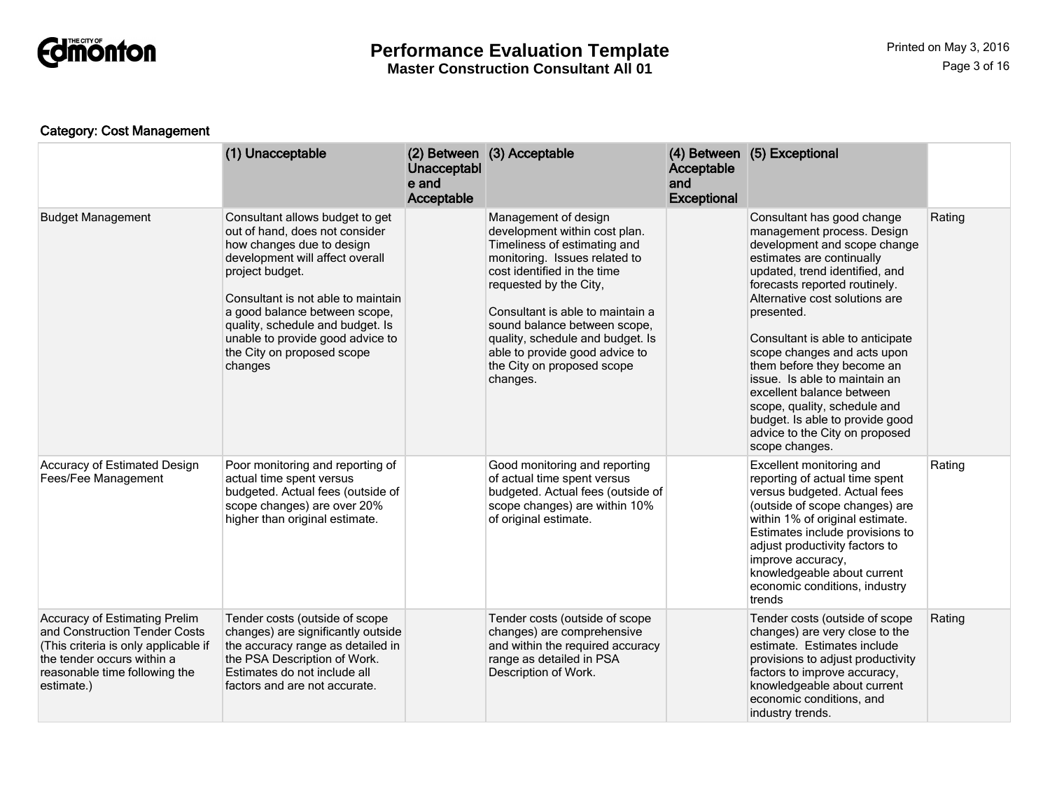

**Master Construction Consultant All 01**

### Category: Cost Management

|                                                                                                                                                                                            | (1) Unacceptable                                                                                                                                                                                                                                                                                                                             | Unacceptabl<br>e and<br>Acceptable | (2) Between (3) Acceptable                                                                                                                                                                                                                                                                                                                                          | Acceptable<br>and<br><b>Exceptional</b> | (4) Between (5) Exceptional                                                                                                                                                                                                                                                                                                                                                                                                                                                                                                    |        |
|--------------------------------------------------------------------------------------------------------------------------------------------------------------------------------------------|----------------------------------------------------------------------------------------------------------------------------------------------------------------------------------------------------------------------------------------------------------------------------------------------------------------------------------------------|------------------------------------|---------------------------------------------------------------------------------------------------------------------------------------------------------------------------------------------------------------------------------------------------------------------------------------------------------------------------------------------------------------------|-----------------------------------------|--------------------------------------------------------------------------------------------------------------------------------------------------------------------------------------------------------------------------------------------------------------------------------------------------------------------------------------------------------------------------------------------------------------------------------------------------------------------------------------------------------------------------------|--------|
| <b>Budget Management</b>                                                                                                                                                                   | Consultant allows budget to get<br>out of hand, does not consider<br>how changes due to design<br>development will affect overall<br>project budget.<br>Consultant is not able to maintain<br>a good balance between scope,<br>quality, schedule and budget. Is<br>unable to provide good advice to<br>the City on proposed scope<br>changes |                                    | Management of design<br>development within cost plan.<br>Timeliness of estimating and<br>monitoring. Issues related to<br>cost identified in the time<br>requested by the City,<br>Consultant is able to maintain a<br>sound balance between scope,<br>quality, schedule and budget. Is<br>able to provide good advice to<br>the City on proposed scope<br>changes. |                                         | Consultant has good change<br>management process. Design<br>development and scope change<br>estimates are continually<br>updated, trend identified, and<br>forecasts reported routinely.<br>Alternative cost solutions are<br>presented.<br>Consultant is able to anticipate<br>scope changes and acts upon<br>them before they become an<br>issue. Is able to maintain an<br>excellent balance between<br>scope, quality, schedule and<br>budget. Is able to provide good<br>advice to the City on proposed<br>scope changes. | Rating |
| Accuracy of Estimated Design<br>Fees/Fee Management                                                                                                                                        | Poor monitoring and reporting of<br>actual time spent versus<br>budgeted. Actual fees (outside of<br>scope changes) are over 20%<br>higher than original estimate.                                                                                                                                                                           |                                    | Good monitoring and reporting<br>of actual time spent versus<br>budgeted. Actual fees (outside of<br>scope changes) are within 10%<br>of original estimate.                                                                                                                                                                                                         |                                         | Excellent monitoring and<br>reporting of actual time spent<br>versus budgeted. Actual fees<br>(outside of scope changes) are<br>within 1% of original estimate.<br>Estimates include provisions to<br>adjust productivity factors to<br>improve accuracy,<br>knowledgeable about current<br>economic conditions, industry<br>trends                                                                                                                                                                                            | Rating |
| <b>Accuracy of Estimating Prelim</b><br>and Construction Tender Costs<br>(This criteria is only applicable if<br>the tender occurs within a<br>reasonable time following the<br>estimate.) | Tender costs (outside of scope<br>changes) are significantly outside<br>the accuracy range as detailed in<br>the PSA Description of Work.<br>Estimates do not include all<br>factors and are not accurate.                                                                                                                                   |                                    | Tender costs (outside of scope<br>changes) are comprehensive<br>and within the required accuracy<br>range as detailed in PSA<br>Description of Work.                                                                                                                                                                                                                |                                         | Tender costs (outside of scope<br>changes) are very close to the<br>estimate. Estimates include<br>provisions to adjust productivity<br>factors to improve accuracy,<br>knowledgeable about current<br>economic conditions, and<br>industry trends.                                                                                                                                                                                                                                                                            | Rating |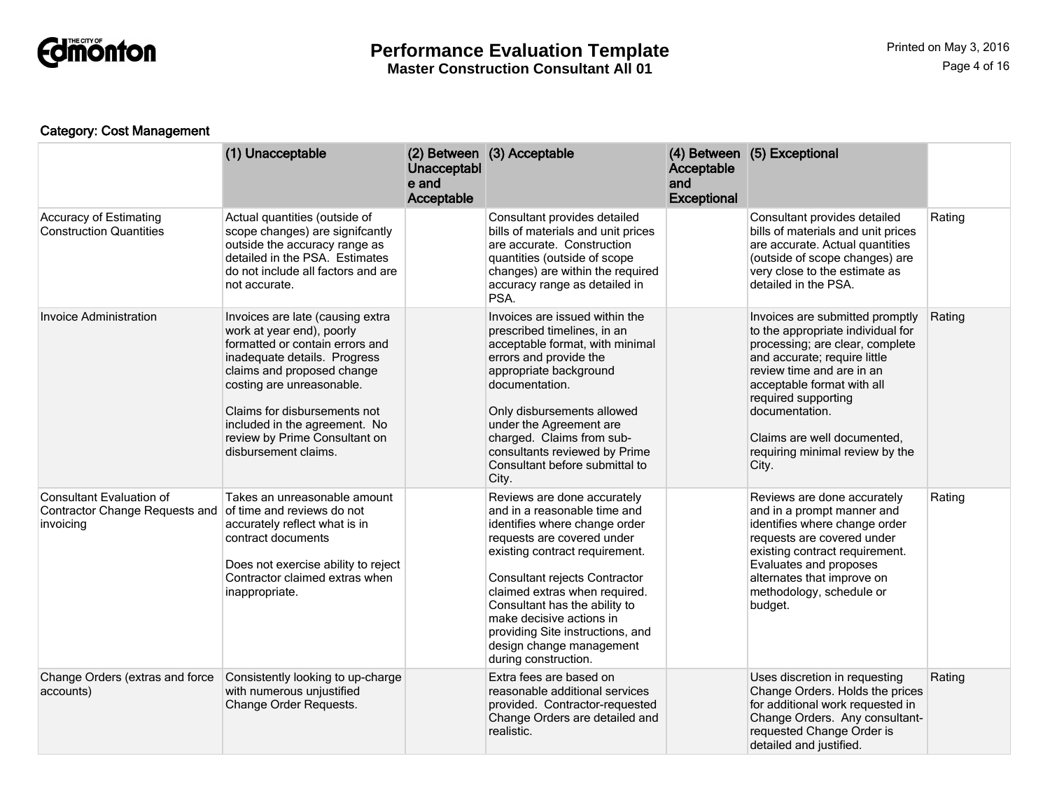

### Category: Cost Management

|                                                                                       | (1) Unacceptable                                                                                                                                                                                                                                                                                                      | Unacceptabl<br>e and<br>Acceptable | (2) Between (3) Acceptable                                                                                                                                                                                                                                                                                                                                                          | Acceptable<br>and<br>Exceptional | (4) Between (5) Exceptional                                                                                                                                                                                                                                                                                            |        |
|---------------------------------------------------------------------------------------|-----------------------------------------------------------------------------------------------------------------------------------------------------------------------------------------------------------------------------------------------------------------------------------------------------------------------|------------------------------------|-------------------------------------------------------------------------------------------------------------------------------------------------------------------------------------------------------------------------------------------------------------------------------------------------------------------------------------------------------------------------------------|----------------------------------|------------------------------------------------------------------------------------------------------------------------------------------------------------------------------------------------------------------------------------------------------------------------------------------------------------------------|--------|
| <b>Accuracy of Estimating</b><br><b>Construction Quantities</b>                       | Actual quantities (outside of<br>scope changes) are signifcantly<br>outside the accuracy range as<br>detailed in the PSA. Estimates<br>do not include all factors and are<br>not accurate.                                                                                                                            |                                    | Consultant provides detailed<br>bills of materials and unit prices<br>are accurate. Construction<br>quantities (outside of scope<br>changes) are within the required<br>accuracy range as detailed in<br>PSA.                                                                                                                                                                       |                                  | Consultant provides detailed<br>bills of materials and unit prices<br>are accurate. Actual quantities<br>(outside of scope changes) are<br>very close to the estimate as<br>detailed in the PSA.                                                                                                                       | Rating |
| <b>Invoice Administration</b>                                                         | Invoices are late (causing extra<br>work at year end), poorly<br>formatted or contain errors and<br>inadequate details. Progress<br>claims and proposed change<br>costing are unreasonable.<br>Claims for disbursements not<br>included in the agreement. No<br>review by Prime Consultant on<br>disbursement claims. |                                    | Invoices are issued within the<br>prescribed timelines, in an<br>acceptable format, with minimal<br>errors and provide the<br>appropriate background<br>documentation.<br>Only disbursements allowed<br>under the Agreement are<br>charged. Claims from sub-<br>consultants reviewed by Prime<br>Consultant before submittal to<br>City.                                            |                                  | Invoices are submitted promptly<br>to the appropriate individual for<br>processing; are clear, complete<br>and accurate; require little<br>review time and are in an<br>acceptable format with all<br>required supporting<br>documentation.<br>Claims are well documented.<br>requiring minimal review by the<br>City. | Rating |
| <b>Consultant Evaluation of</b><br><b>Contractor Change Requests and</b><br>invoicing | Takes an unreasonable amount<br>of time and reviews do not<br>accurately reflect what is in<br>contract documents<br>Does not exercise ability to reject<br>Contractor claimed extras when<br>inappropriate.                                                                                                          |                                    | Reviews are done accurately<br>and in a reasonable time and<br>identifies where change order<br>requests are covered under<br>existing contract requirement.<br>Consultant rejects Contractor<br>claimed extras when required.<br>Consultant has the ability to<br>make decisive actions in<br>providing Site instructions, and<br>design change management<br>during construction. |                                  | Reviews are done accurately<br>and in a prompt manner and<br>identifies where change order<br>requests are covered under<br>existing contract requirement.<br>Evaluates and proposes<br>alternates that improve on<br>methodology, schedule or<br>budget.                                                              | Rating |
| Change Orders (extras and force<br>accounts)                                          | Consistently looking to up-charge<br>with numerous unjustified<br>Change Order Requests.                                                                                                                                                                                                                              |                                    | Extra fees are based on<br>reasonable additional services<br>provided. Contractor-requested<br>Change Orders are detailed and<br>realistic.                                                                                                                                                                                                                                         |                                  | Uses discretion in requesting<br>Change Orders. Holds the prices<br>for additional work requested in<br>Change Orders. Any consultant-<br>requested Change Order is<br>detailed and justified.                                                                                                                         | Rating |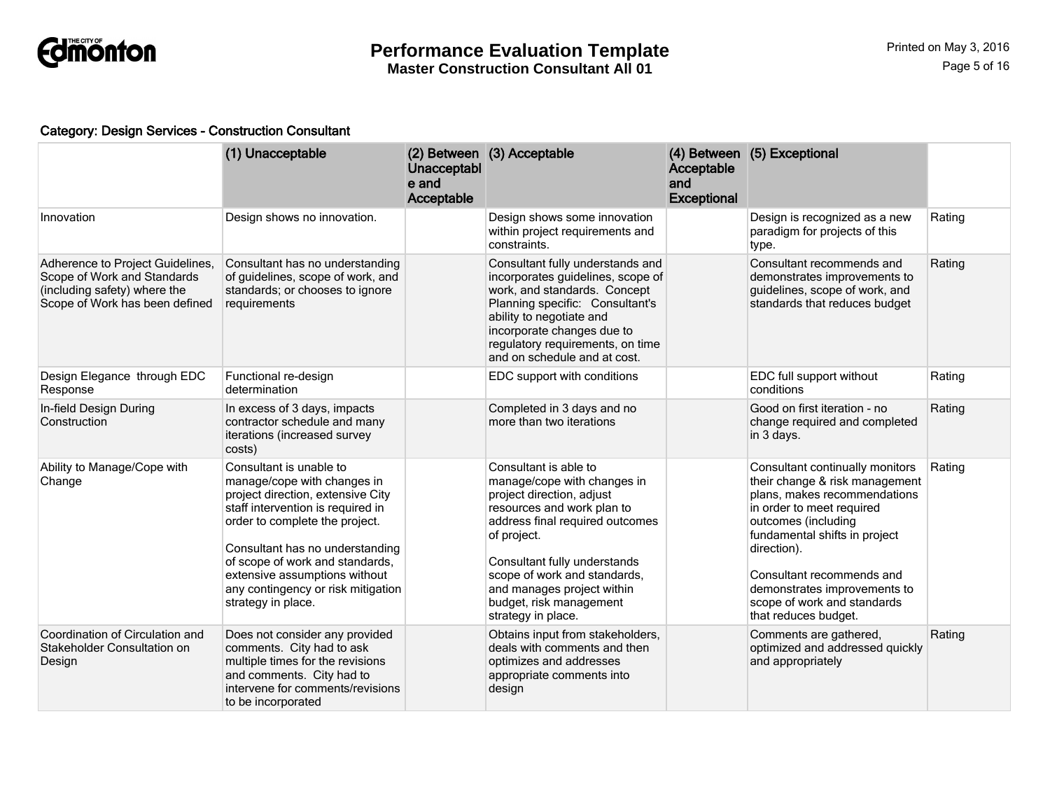

### Category: Design Services - Construction Consultant

|                                                                                                                                   | (1) Unacceptable                                                                                                                                                                                                                                                                                                                      | Unacceptabl<br>e and<br>Acceptable | (2) Between (3) Acceptable                                                                                                                                                                                                                                                                                       | Acceptable<br>and<br><b>Exceptional</b> | (4) Between (5) Exceptional                                                                                                                                                                                                                                                                                               |        |
|-----------------------------------------------------------------------------------------------------------------------------------|---------------------------------------------------------------------------------------------------------------------------------------------------------------------------------------------------------------------------------------------------------------------------------------------------------------------------------------|------------------------------------|------------------------------------------------------------------------------------------------------------------------------------------------------------------------------------------------------------------------------------------------------------------------------------------------------------------|-----------------------------------------|---------------------------------------------------------------------------------------------------------------------------------------------------------------------------------------------------------------------------------------------------------------------------------------------------------------------------|--------|
| Innovation                                                                                                                        | Design shows no innovation.                                                                                                                                                                                                                                                                                                           |                                    | Design shows some innovation<br>within project requirements and<br>constraints.                                                                                                                                                                                                                                  |                                         | Design is recognized as a new<br>paradigm for projects of this<br>type.                                                                                                                                                                                                                                                   | Rating |
| Adherence to Project Guidelines,<br>Scope of Work and Standards<br>(including safety) where the<br>Scope of Work has been defined | Consultant has no understanding<br>of guidelines, scope of work, and<br>standards; or chooses to ignore<br>requirements                                                                                                                                                                                                               |                                    | Consultant fully understands and<br>incorporates guidelines, scope of<br>work, and standards. Concept<br>Planning specific: Consultant's<br>ability to negotiate and<br>incorporate changes due to<br>regulatory requirements, on time<br>and on schedule and at cost.                                           |                                         | Consultant recommends and<br>demonstrates improvements to<br>guidelines, scope of work, and<br>standards that reduces budget                                                                                                                                                                                              | Rating |
| Design Elegance through EDC<br>Response                                                                                           | Functional re-design<br>determination                                                                                                                                                                                                                                                                                                 |                                    | EDC support with conditions                                                                                                                                                                                                                                                                                      |                                         | EDC full support without<br>conditions                                                                                                                                                                                                                                                                                    | Rating |
| In-field Design During<br>Construction                                                                                            | In excess of 3 days, impacts<br>contractor schedule and many<br>iterations (increased survey<br>costs)                                                                                                                                                                                                                                |                                    | Completed in 3 days and no<br>more than two iterations                                                                                                                                                                                                                                                           |                                         | Good on first iteration - no<br>change required and completed<br>in 3 days.                                                                                                                                                                                                                                               | Rating |
| Ability to Manage/Cope with<br>Change                                                                                             | Consultant is unable to<br>manage/cope with changes in<br>project direction, extensive City<br>staff intervention is required in<br>order to complete the project.<br>Consultant has no understanding<br>of scope of work and standards,<br>extensive assumptions without<br>any contingency or risk mitigation<br>strategy in place. |                                    | Consultant is able to<br>manage/cope with changes in<br>project direction, adjust<br>resources and work plan to<br>address final required outcomes<br>of project.<br>Consultant fully understands<br>scope of work and standards,<br>and manages project within<br>budget, risk management<br>strategy in place. |                                         | Consultant continually monitors<br>their change & risk management<br>plans, makes recommendations<br>in order to meet required<br>outcomes (including<br>fundamental shifts in project<br>direction).<br>Consultant recommends and<br>demonstrates improvements to<br>scope of work and standards<br>that reduces budget. | Rating |
| Coordination of Circulation and<br>Stakeholder Consultation on<br>Design                                                          | Does not consider any provided<br>comments. City had to ask<br>multiple times for the revisions<br>and comments. City had to<br>intervene for comments/revisions<br>to be incorporated                                                                                                                                                |                                    | Obtains input from stakeholders,<br>deals with comments and then<br>optimizes and addresses<br>appropriate comments into<br>design                                                                                                                                                                               |                                         | Comments are gathered,<br>optimized and addressed quickly<br>and appropriately                                                                                                                                                                                                                                            | Rating |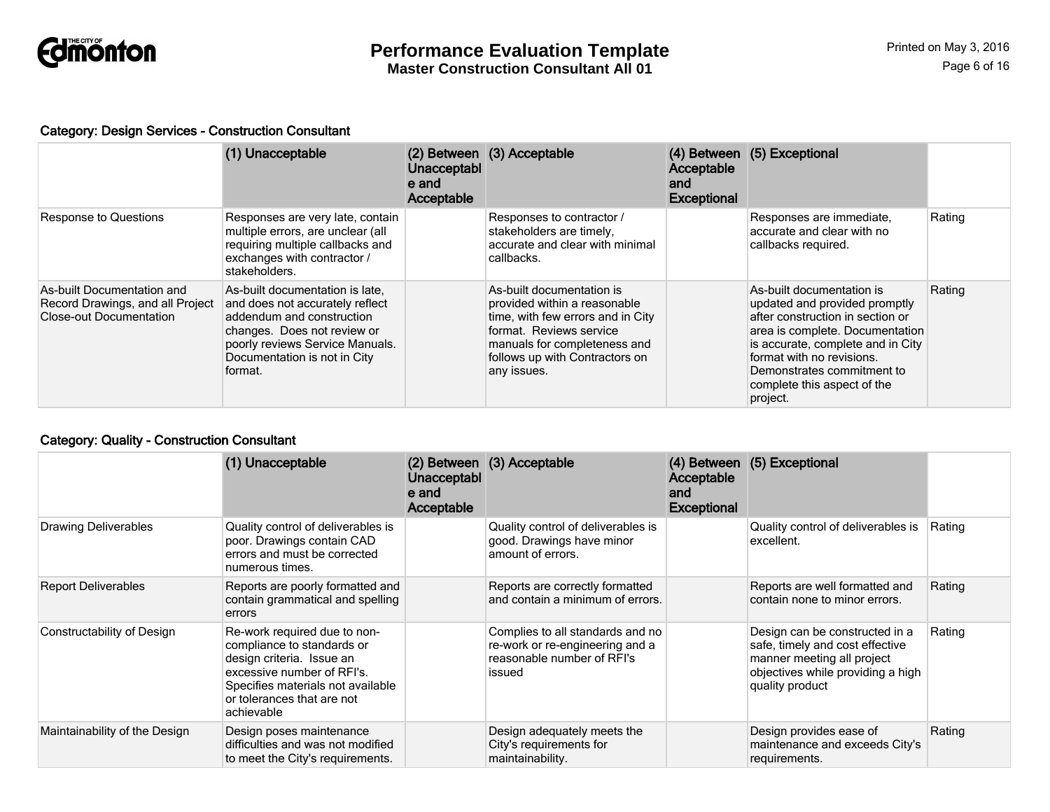

#### Category: Design Services - Construction Consultant

|                                                                                                  | (1) Unacceptable                                                                                                                                                                                             | Unacceptabl<br>e and<br>Acceptable | (2) Between (3) Acceptable                                                                                                                                                                                 | Acceptable<br>and<br><b>Exceptional</b> | (4) Between (5) Exceptional                                                                                                                                                                                                                                                  |        |
|--------------------------------------------------------------------------------------------------|--------------------------------------------------------------------------------------------------------------------------------------------------------------------------------------------------------------|------------------------------------|------------------------------------------------------------------------------------------------------------------------------------------------------------------------------------------------------------|-----------------------------------------|------------------------------------------------------------------------------------------------------------------------------------------------------------------------------------------------------------------------------------------------------------------------------|--------|
| <b>Response to Questions</b>                                                                     | Responses are very late, contain<br>multiple errors, are unclear (all<br>requiring multiple callbacks and<br>exchanges with contractor /<br>stakeholders.                                                    |                                    | Responses to contractor /<br>stakeholders are timely.<br>accurate and clear with minimal<br>callbacks.                                                                                                     |                                         | Responses are immediate,<br>accurate and clear with no<br>callbacks required.                                                                                                                                                                                                | Rating |
| As-built Documentation and<br>Record Drawings, and all Project<br><b>Close-out Documentation</b> | As-built documentation is late.<br>and does not accurately reflect<br>addendum and construction<br>changes. Does not review or<br>poorly reviews Service Manuals.<br>Documentation is not in City<br>format. |                                    | As-built documentation is<br>provided within a reasonable<br>time, with few errors and in City<br>format. Reviews service<br>manuals for completeness and<br>follows up with Contractors on<br>any issues. |                                         | As-built documentation is<br>updated and provided promptly<br>after construction in section or<br>area is complete. Documentation<br>is accurate, complete and in City<br>format with no revisions.<br>Demonstrates commitment to<br>complete this aspect of the<br>project. | Rating |

### Category: Quality - Construction Consultant

|                               | (1) Unacceptable                                                                                                                                                                                       | Unacceptabl<br>e and<br>Acceptable | (2) Between (3) Acceptable                                                                                  | Acceptable<br>and<br><b>Exceptional</b> | (4) Between (5) Exceptional                                                                                                                             |        |
|-------------------------------|--------------------------------------------------------------------------------------------------------------------------------------------------------------------------------------------------------|------------------------------------|-------------------------------------------------------------------------------------------------------------|-----------------------------------------|---------------------------------------------------------------------------------------------------------------------------------------------------------|--------|
| <b>Drawing Deliverables</b>   | Quality control of deliverables is<br>poor. Drawings contain CAD<br>errors and must be corrected<br>numerous times.                                                                                    |                                    | Quality control of deliverables is<br>good. Drawings have minor<br>amount of errors.                        |                                         | Quality control of deliverables is<br>excellent.                                                                                                        | Rating |
| <b>Report Deliverables</b>    | Reports are poorly formatted and<br>contain grammatical and spelling<br>errors                                                                                                                         |                                    | Reports are correctly formatted<br>and contain a minimum of errors.                                         |                                         | Reports are well formatted and<br>contain none to minor errors.                                                                                         | Rating |
| Constructability of Design    | Re-work required due to non-<br>compliance to standards or<br>design criteria. Issue an<br>excessive number of RFI's.<br>Specifies materials not available<br>or tolerances that are not<br>achievable |                                    | Complies to all standards and no<br>re-work or re-engineering and a<br>reasonable number of RFI's<br>issued |                                         | Design can be constructed in a<br>safe, timely and cost effective<br>manner meeting all project<br>objectives while providing a high<br>quality product | Rating |
| Maintainability of the Design | Design poses maintenance<br>difficulties and was not modified<br>to meet the City's requirements.                                                                                                      |                                    | Design adequately meets the<br>City's requirements for<br>maintainability.                                  |                                         | Design provides ease of<br>maintenance and exceeds City's<br>requirements.                                                                              | Rating |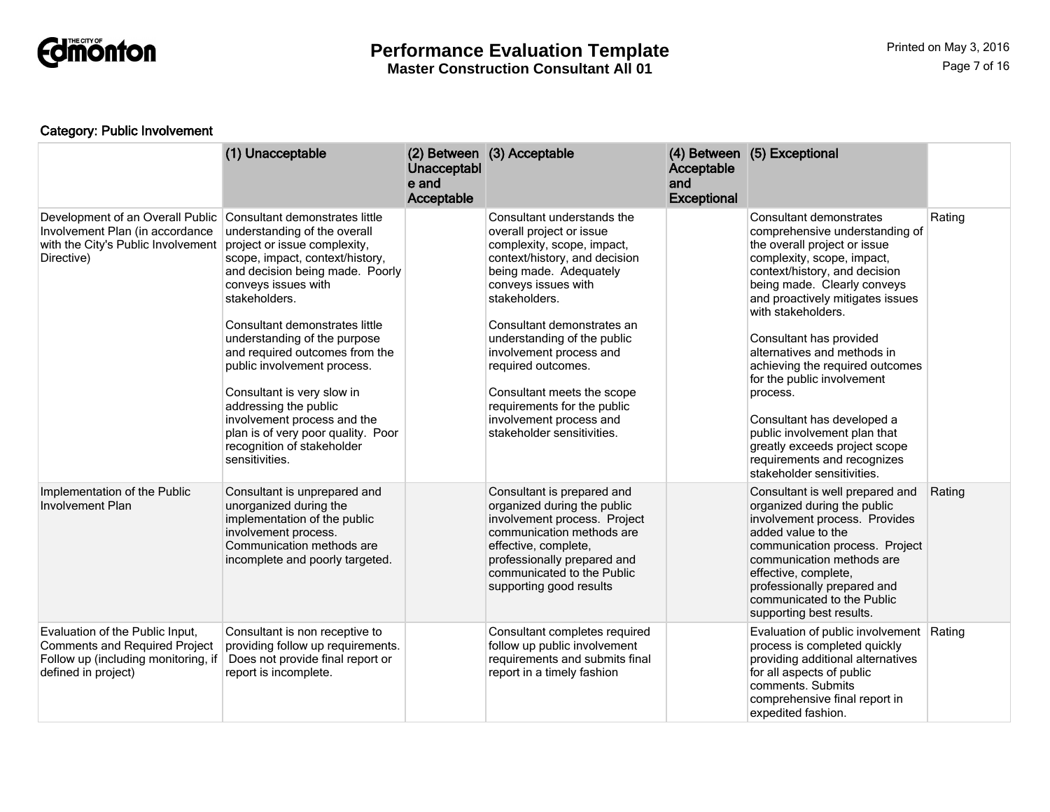

**Master Construction Consultant All 01**

### Category: Public Involvement

|                                                                                                                                       | (1) Unacceptable                                                                                                                                                                                                                                                                                                                                                                                                                                                                                                            | Unacceptabl<br>e and<br>Acceptable | (2) Between (3) Acceptable                                                                                                                                                                                                                                                                                                                                                                                                  | Acceptable<br>and<br><b>Exceptional</b> | (4) Between (5) Exceptional                                                                                                                                                                                                                                                                                                                                                                                                                                                                                                                          |        |
|---------------------------------------------------------------------------------------------------------------------------------------|-----------------------------------------------------------------------------------------------------------------------------------------------------------------------------------------------------------------------------------------------------------------------------------------------------------------------------------------------------------------------------------------------------------------------------------------------------------------------------------------------------------------------------|------------------------------------|-----------------------------------------------------------------------------------------------------------------------------------------------------------------------------------------------------------------------------------------------------------------------------------------------------------------------------------------------------------------------------------------------------------------------------|-----------------------------------------|------------------------------------------------------------------------------------------------------------------------------------------------------------------------------------------------------------------------------------------------------------------------------------------------------------------------------------------------------------------------------------------------------------------------------------------------------------------------------------------------------------------------------------------------------|--------|
| Development of an Overall Public<br>Involvement Plan (in accordance<br>with the City's Public Involvement<br>Directive)               | Consultant demonstrates little<br>understanding of the overall<br>project or issue complexity,<br>scope, impact, context/history,<br>and decision being made. Poorly<br>conveys issues with<br>stakeholders.<br>Consultant demonstrates little<br>understanding of the purpose<br>and required outcomes from the<br>public involvement process.<br>Consultant is very slow in<br>addressing the public<br>involvement process and the<br>plan is of very poor quality. Poor<br>recognition of stakeholder<br>sensitivities. |                                    | Consultant understands the<br>overall project or issue<br>complexity, scope, impact,<br>context/history, and decision<br>being made. Adequately<br>conveys issues with<br>stakeholders.<br>Consultant demonstrates an<br>understanding of the public<br>involvement process and<br>required outcomes.<br>Consultant meets the scope<br>requirements for the public<br>involvement process and<br>stakeholder sensitivities. |                                         | Consultant demonstrates<br>comprehensive understanding of<br>the overall project or issue<br>complexity, scope, impact,<br>context/history, and decision<br>being made. Clearly conveys<br>and proactively mitigates issues<br>with stakeholders.<br>Consultant has provided<br>alternatives and methods in<br>achieving the required outcomes<br>for the public involvement<br>process.<br>Consultant has developed a<br>public involvement plan that<br>greatly exceeds project scope<br>requirements and recognizes<br>stakeholder sensitivities. | Rating |
| Implementation of the Public<br><b>Involvement Plan</b>                                                                               | Consultant is unprepared and<br>unorganized during the<br>implementation of the public<br>involvement process.<br>Communication methods are<br>incomplete and poorly targeted.                                                                                                                                                                                                                                                                                                                                              |                                    | Consultant is prepared and<br>organized during the public<br>involvement process. Project<br>communication methods are<br>effective, complete,<br>professionally prepared and<br>communicated to the Public<br>supporting good results                                                                                                                                                                                      |                                         | Consultant is well prepared and<br>organized during the public<br>involvement process. Provides<br>added value to the<br>communication process. Project<br>communication methods are<br>effective, complete,<br>professionally prepared and<br>communicated to the Public<br>supporting best results.                                                                                                                                                                                                                                                | Rating |
| Evaluation of the Public Input,<br><b>Comments and Required Project</b><br>Follow up (including monitoring, if<br>defined in project) | Consultant is non receptive to<br>providing follow up requirements.<br>Does not provide final report or<br>report is incomplete.                                                                                                                                                                                                                                                                                                                                                                                            |                                    | Consultant completes required<br>follow up public involvement<br>requirements and submits final<br>report in a timely fashion                                                                                                                                                                                                                                                                                               |                                         | Evaluation of public involvement<br>process is completed quickly<br>providing additional alternatives<br>for all aspects of public<br>comments. Submits<br>comprehensive final report in<br>expedited fashion.                                                                                                                                                                                                                                                                                                                                       | Rating |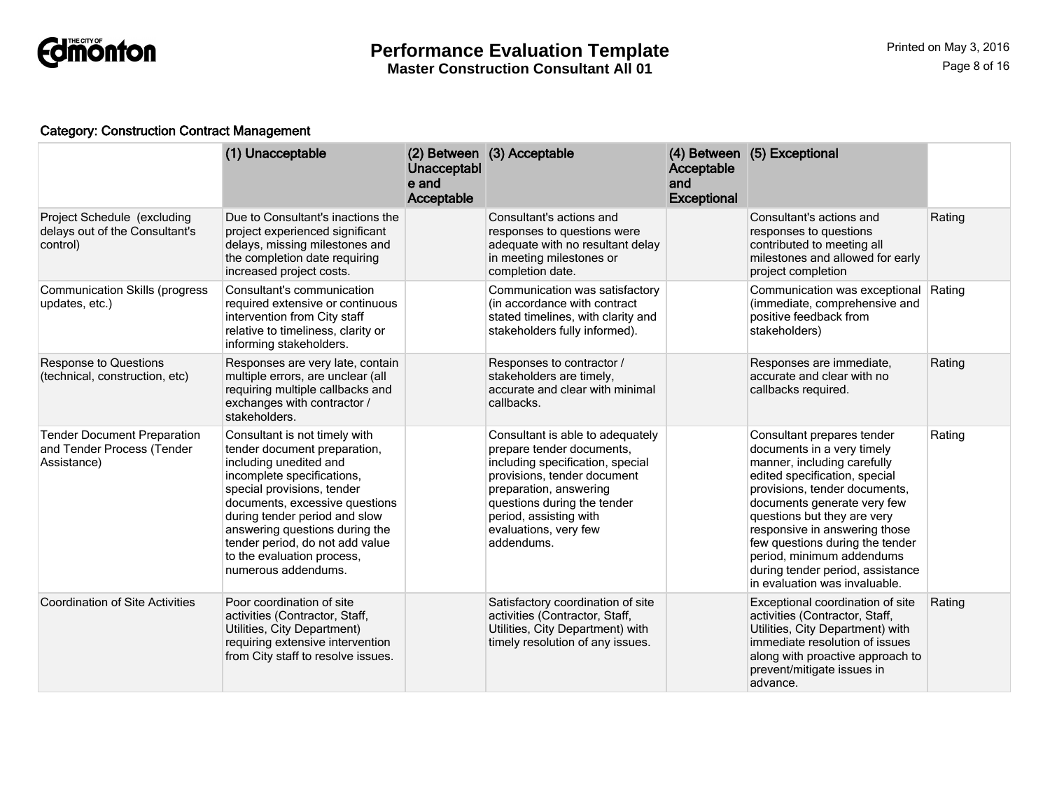

### Category: Construction Contract Management

|                                                                                 | (1) Unacceptable                                                                                                                                                                                                                                                                                                                                 | Unacceptabl<br>e and<br>Acceptable | (2) Between (3) Acceptable                                                                                                                                                                                                                                 | Acceptable<br>and<br><b>Exceptional</b> | (4) Between (5) Exceptional                                                                                                                                                                                                                                                                                                                                                                   |        |
|---------------------------------------------------------------------------------|--------------------------------------------------------------------------------------------------------------------------------------------------------------------------------------------------------------------------------------------------------------------------------------------------------------------------------------------------|------------------------------------|------------------------------------------------------------------------------------------------------------------------------------------------------------------------------------------------------------------------------------------------------------|-----------------------------------------|-----------------------------------------------------------------------------------------------------------------------------------------------------------------------------------------------------------------------------------------------------------------------------------------------------------------------------------------------------------------------------------------------|--------|
| Project Schedule (excluding<br>delays out of the Consultant's<br>control)       | Due to Consultant's inactions the<br>project experienced significant<br>delays, missing milestones and<br>the completion date requiring<br>increased project costs.                                                                                                                                                                              |                                    | Consultant's actions and<br>responses to questions were<br>adequate with no resultant delay<br>in meeting milestones or<br>completion date.                                                                                                                |                                         | Consultant's actions and<br>responses to questions<br>contributed to meeting all<br>milestones and allowed for early<br>project completion                                                                                                                                                                                                                                                    | Rating |
| <b>Communication Skills (progress</b><br>updates, etc.)                         | Consultant's communication<br>required extensive or continuous<br>intervention from City staff<br>relative to timeliness, clarity or<br>informing stakeholders.                                                                                                                                                                                  |                                    | Communication was satisfactory<br>(in accordance with contract<br>stated timelines, with clarity and<br>stakeholders fully informed).                                                                                                                      |                                         | Communication was exceptional<br>(immediate, comprehensive and<br>positive feedback from<br>stakeholders)                                                                                                                                                                                                                                                                                     | Rating |
| <b>Response to Questions</b><br>(technical, construction, etc)                  | Responses are very late, contain<br>multiple errors, are unclear (all<br>requiring multiple callbacks and<br>exchanges with contractor /<br>stakeholders.                                                                                                                                                                                        |                                    | Responses to contractor /<br>stakeholders are timely,<br>accurate and clear with minimal<br>callbacks.                                                                                                                                                     |                                         | Responses are immediate,<br>accurate and clear with no<br>callbacks required.                                                                                                                                                                                                                                                                                                                 | Rating |
| <b>Tender Document Preparation</b><br>and Tender Process (Tender<br>Assistance) | Consultant is not timely with<br>tender document preparation,<br>including unedited and<br>incomplete specifications,<br>special provisions, tender<br>documents, excessive questions<br>during tender period and slow<br>answering questions during the<br>tender period, do not add value<br>to the evaluation process,<br>numerous addendums. |                                    | Consultant is able to adequately<br>prepare tender documents,<br>including specification, special<br>provisions, tender document<br>preparation, answering<br>questions during the tender<br>period, assisting with<br>evaluations, very few<br>addendums. |                                         | Consultant prepares tender<br>documents in a very timely<br>manner, including carefully<br>edited specification, special<br>provisions, tender documents,<br>documents generate very few<br>questions but they are very<br>responsive in answering those<br>few questions during the tender<br>period, minimum addendums<br>during tender period, assistance<br>in evaluation was invaluable. | Rating |
| <b>Coordination of Site Activities</b>                                          | Poor coordination of site<br>activities (Contractor, Staff,<br>Utilities, City Department)<br>requiring extensive intervention<br>from City staff to resolve issues.                                                                                                                                                                             |                                    | Satisfactory coordination of site<br>activities (Contractor, Staff,<br>Utilities, City Department) with<br>timely resolution of any issues.                                                                                                                |                                         | Exceptional coordination of site<br>activities (Contractor, Staff,<br>Utilities, City Department) with<br>immediate resolution of issues<br>along with proactive approach to<br>prevent/mitigate issues in<br>advance.                                                                                                                                                                        | Rating |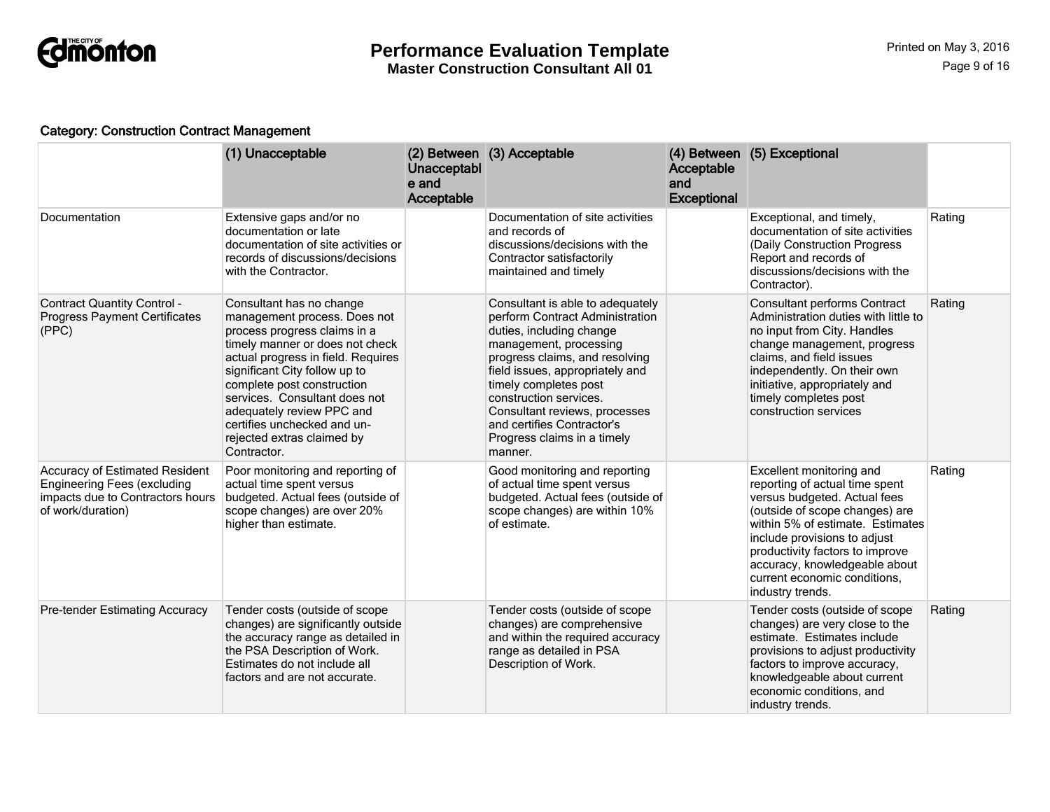

### Category: Construction Contract Management

|                                                                                                                               | (1) Unacceptable                                                                                                                                                                                                                                                                                                                                                           | Unacceptabl<br>e and<br>Acceptable | (2) Between (3) Acceptable                                                                                                                                                                                                                                                                                                                                 | Acceptable<br>and<br><b>Exceptional</b> | (4) Between (5) Exceptional                                                                                                                                                                                                                                                                                              |        |
|-------------------------------------------------------------------------------------------------------------------------------|----------------------------------------------------------------------------------------------------------------------------------------------------------------------------------------------------------------------------------------------------------------------------------------------------------------------------------------------------------------------------|------------------------------------|------------------------------------------------------------------------------------------------------------------------------------------------------------------------------------------------------------------------------------------------------------------------------------------------------------------------------------------------------------|-----------------------------------------|--------------------------------------------------------------------------------------------------------------------------------------------------------------------------------------------------------------------------------------------------------------------------------------------------------------------------|--------|
| Documentation                                                                                                                 | Extensive gaps and/or no<br>documentation or late<br>documentation of site activities or<br>records of discussions/decisions<br>with the Contractor.                                                                                                                                                                                                                       |                                    | Documentation of site activities<br>and records of<br>discussions/decisions with the<br>Contractor satisfactorily<br>maintained and timely                                                                                                                                                                                                                 |                                         | Exceptional, and timely,<br>documentation of site activities<br>(Daily Construction Progress<br>Report and records of<br>discussions/decisions with the<br>Contractor).                                                                                                                                                  | Rating |
| <b>Contract Quantity Control -</b><br><b>Progress Payment Certificates</b><br>(PPC)                                           | Consultant has no change<br>management process. Does not<br>process progress claims in a<br>timely manner or does not check<br>actual progress in field. Requires<br>significant City follow up to<br>complete post construction<br>services. Consultant does not<br>adequately review PPC and<br>certifies unchecked and un-<br>rejected extras claimed by<br>Contractor. |                                    | Consultant is able to adequately<br>perform Contract Administration<br>duties, including change<br>management, processing<br>progress claims, and resolving<br>field issues, appropriately and<br>timely completes post<br>construction services.<br>Consultant reviews, processes<br>and certifies Contractor's<br>Progress claims in a timely<br>manner. |                                         | <b>Consultant performs Contract</b><br>Administration duties with little to<br>no input from City. Handles<br>change management, progress<br>claims, and field issues<br>independently. On their own<br>initiative, appropriately and<br>timely completes post<br>construction services                                  | Rating |
| Accuracy of Estimated Resident<br><b>Engineering Fees (excluding</b><br>impacts due to Contractors hours<br>of work/duration) | Poor monitoring and reporting of<br>actual time spent versus<br>budgeted. Actual fees (outside of<br>scope changes) are over 20%<br>higher than estimate.                                                                                                                                                                                                                  |                                    | Good monitoring and reporting<br>of actual time spent versus<br>budgeted. Actual fees (outside of<br>scope changes) are within 10%<br>of estimate.                                                                                                                                                                                                         |                                         | Excellent monitoring and<br>reporting of actual time spent<br>versus budgeted. Actual fees<br>(outside of scope changes) are<br>within 5% of estimate. Estimates<br>include provisions to adjust<br>productivity factors to improve<br>accuracy, knowledgeable about<br>current economic conditions.<br>industry trends. | Rating |
| <b>Pre-tender Estimating Accuracy</b>                                                                                         | Tender costs (outside of scope<br>changes) are significantly outside<br>the accuracy range as detailed in<br>the PSA Description of Work.<br>Estimates do not include all<br>factors and are not accurate.                                                                                                                                                                 |                                    | Tender costs (outside of scope<br>changes) are comprehensive<br>and within the required accuracy<br>range as detailed in PSA<br>Description of Work.                                                                                                                                                                                                       |                                         | Tender costs (outside of scope<br>changes) are very close to the<br>estimate. Estimates include<br>provisions to adjust productivity<br>factors to improve accuracy,<br>knowledgeable about current<br>economic conditions, and<br>industry trends.                                                                      | Rating |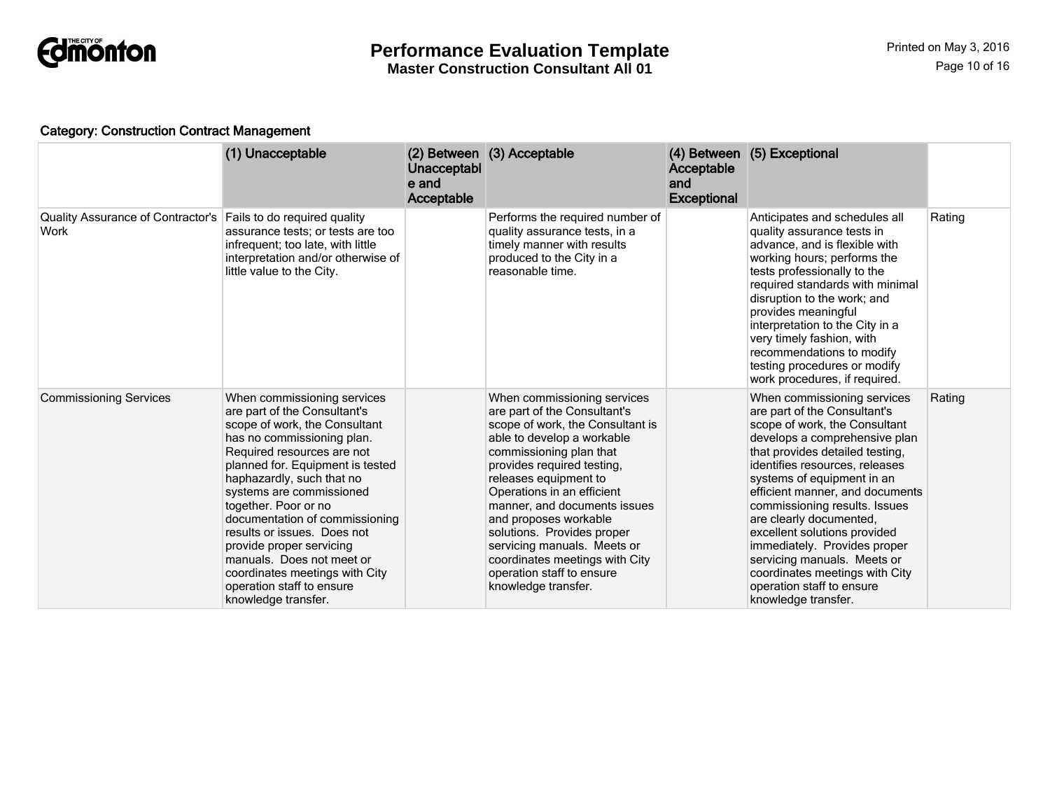

### Category: Construction Contract Management

|                                           | (1) Unacceptable                                                                                                                                                                                                                                                                                                                                                                                                                                                                              | Unacceptabl<br>e and<br>Acceptable | (2) Between (3) Acceptable                                                                                                                                                                                                                                                                                                                                                                                                                                | <b>Acceptable</b><br>and<br><b>Exceptional</b> | (4) Between (5) Exceptional                                                                                                                                                                                                                                                                                                                                                                                                                                                                                          |        |
|-------------------------------------------|-----------------------------------------------------------------------------------------------------------------------------------------------------------------------------------------------------------------------------------------------------------------------------------------------------------------------------------------------------------------------------------------------------------------------------------------------------------------------------------------------|------------------------------------|-----------------------------------------------------------------------------------------------------------------------------------------------------------------------------------------------------------------------------------------------------------------------------------------------------------------------------------------------------------------------------------------------------------------------------------------------------------|------------------------------------------------|----------------------------------------------------------------------------------------------------------------------------------------------------------------------------------------------------------------------------------------------------------------------------------------------------------------------------------------------------------------------------------------------------------------------------------------------------------------------------------------------------------------------|--------|
| Quality Assurance of Contractor's<br>Work | Fails to do required quality<br>assurance tests; or tests are too<br>infrequent; too late, with little<br>interpretation and/or otherwise of<br>little value to the City.                                                                                                                                                                                                                                                                                                                     |                                    | Performs the required number of<br>quality assurance tests, in a<br>timely manner with results<br>produced to the City in a<br>reasonable time.                                                                                                                                                                                                                                                                                                           |                                                | Anticipates and schedules all<br>quality assurance tests in<br>advance, and is flexible with<br>working hours; performs the<br>tests professionally to the<br>required standards with minimal<br>disruption to the work; and<br>provides meaningful<br>interpretation to the City in a<br>very timely fashion, with<br>recommendations to modify<br>testing procedures or modify<br>work procedures, if required.                                                                                                    | Rating |
| <b>Commissioning Services</b>             | When commissioning services<br>are part of the Consultant's<br>scope of work, the Consultant<br>has no commissioning plan.<br>Required resources are not<br>planned for. Equipment is tested<br>haphazardly, such that no<br>systems are commissioned<br>together. Poor or no<br>documentation of commissioning<br>results or issues. Does not<br>provide proper servicing<br>manuals. Does not meet or<br>coordinates meetings with City<br>operation staff to ensure<br>knowledge transfer. |                                    | When commissioning services<br>are part of the Consultant's<br>scope of work, the Consultant is<br>able to develop a workable<br>commissioning plan that<br>provides required testing,<br>releases equipment to<br>Operations in an efficient<br>manner, and documents issues<br>and proposes workable<br>solutions. Provides proper<br>servicing manuals. Meets or<br>coordinates meetings with City<br>operation staff to ensure<br>knowledge transfer. |                                                | When commissioning services<br>are part of the Consultant's<br>scope of work, the Consultant<br>develops a comprehensive plan<br>that provides detailed testing,<br>identifies resources, releases<br>systems of equipment in an<br>efficient manner, and documents<br>commissioning results. Issues<br>are clearly documented,<br>excellent solutions provided<br>immediately. Provides proper<br>servicing manuals. Meets or<br>coordinates meetings with City<br>operation staff to ensure<br>knowledge transfer. | Rating |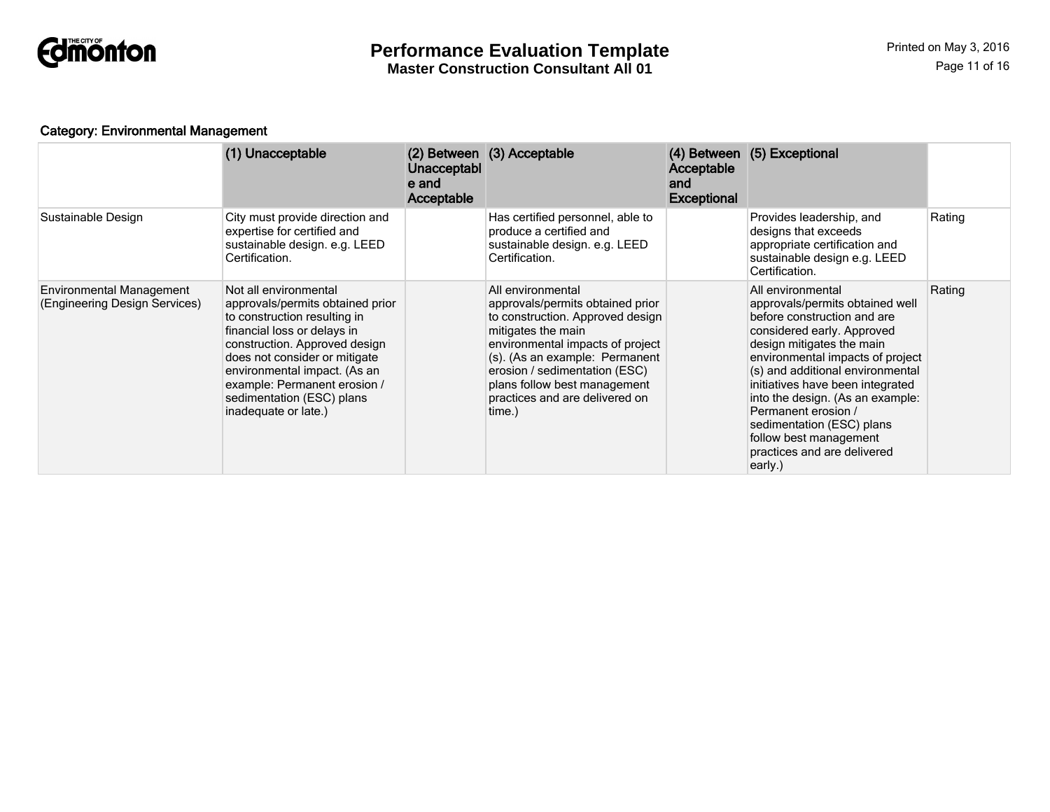

### Category: Environmental Management

|                                                                  | (1) Unacceptable                                                                                                                                                                                                                                                                                                | Unacceptabl<br>e and<br>Acceptable | (2) Between (3) Acceptable                                                                                                                                                                                                                                                                         | <b>Acceptable</b><br>and<br><b>Exceptional</b> | (4) Between (5) Exceptional                                                                                                                                                                                                                                                                                                                                                                                            |        |
|------------------------------------------------------------------|-----------------------------------------------------------------------------------------------------------------------------------------------------------------------------------------------------------------------------------------------------------------------------------------------------------------|------------------------------------|----------------------------------------------------------------------------------------------------------------------------------------------------------------------------------------------------------------------------------------------------------------------------------------------------|------------------------------------------------|------------------------------------------------------------------------------------------------------------------------------------------------------------------------------------------------------------------------------------------------------------------------------------------------------------------------------------------------------------------------------------------------------------------------|--------|
| Sustainable Design                                               | City must provide direction and<br>expertise for certified and<br>sustainable design. e.g. LEED<br>Certification.                                                                                                                                                                                               |                                    | Has certified personnel, able to<br>produce a certified and<br>sustainable design. e.g. LEED<br>Certification.                                                                                                                                                                                     |                                                | Provides leadership, and<br>designs that exceeds<br>appropriate certification and<br>sustainable design e.g. LEED<br>Certification.                                                                                                                                                                                                                                                                                    | Rating |
| <b>Environmental Management</b><br>(Engineering Design Services) | Not all environmental<br>approvals/permits obtained prior<br>to construction resulting in<br>financial loss or delays in<br>construction. Approved design<br>does not consider or mitigate<br>environmental impact. (As an<br>example: Permanent erosion /<br>sedimentation (ESC) plans<br>inadequate or late.) |                                    | All environmental<br>approvals/permits obtained prior<br>to construction. Approved design<br>mitigates the main<br>environmental impacts of project<br>(s). (As an example: Permanent<br>erosion / sedimentation (ESC)<br>plans follow best management<br>practices and are delivered on<br>time.) |                                                | All environmental<br>approvals/permits obtained well<br>before construction and are<br>considered early. Approved<br>design mitigates the main<br>environmental impacts of project<br>(s) and additional environmental<br>initiatives have been integrated<br>into the design. (As an example:<br>Permanent erosion /<br>sedimentation (ESC) plans<br>follow best management<br>practices and are delivered<br>early.) | Rating |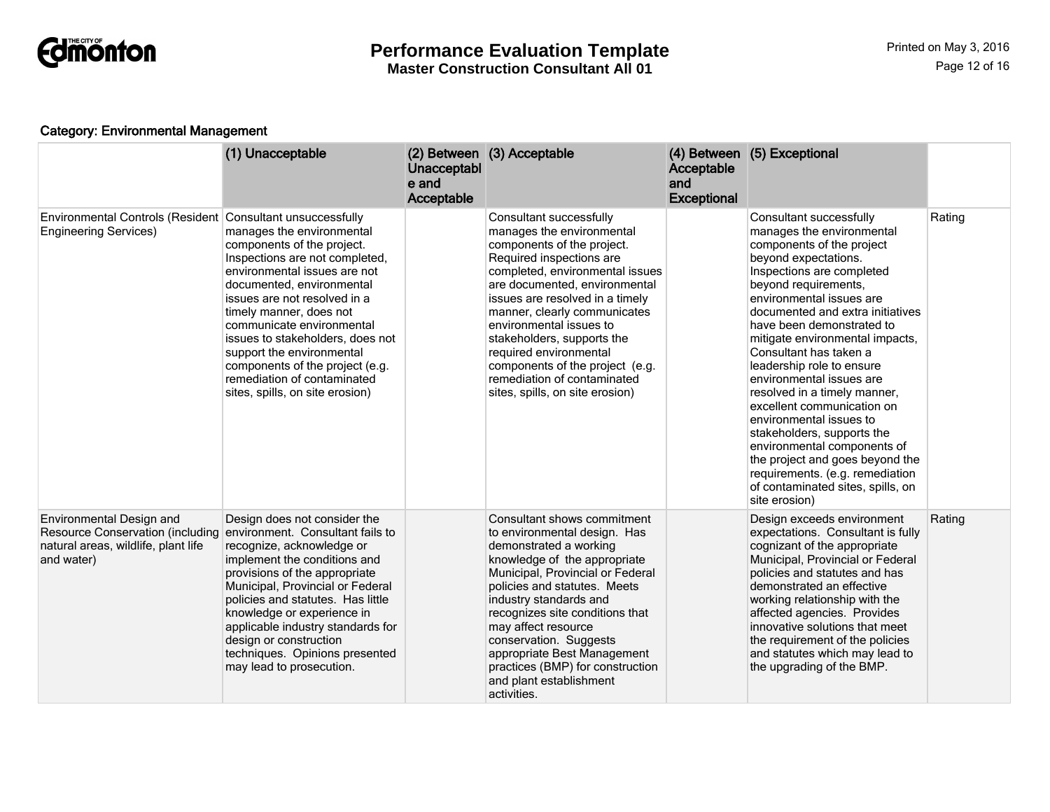

**Master Construction Consultant All 01**

### Category: Environmental Management

|                                                                                                                          | (1) Unacceptable                                                                                                                                                                                                                                                                                                                                                                                                                                  | Unacceptabl<br>e and<br>Acceptable | (2) Between (3) Acceptable                                                                                                                                                                                                                                                                                                                                                                                                                    | Acceptable<br>and<br><b>Exceptional</b> | (4) Between (5) Exceptional                                                                                                                                                                                                                                                                                                                                                                                                                                                                                                                                                                                                                                         |        |
|--------------------------------------------------------------------------------------------------------------------------|---------------------------------------------------------------------------------------------------------------------------------------------------------------------------------------------------------------------------------------------------------------------------------------------------------------------------------------------------------------------------------------------------------------------------------------------------|------------------------------------|-----------------------------------------------------------------------------------------------------------------------------------------------------------------------------------------------------------------------------------------------------------------------------------------------------------------------------------------------------------------------------------------------------------------------------------------------|-----------------------------------------|---------------------------------------------------------------------------------------------------------------------------------------------------------------------------------------------------------------------------------------------------------------------------------------------------------------------------------------------------------------------------------------------------------------------------------------------------------------------------------------------------------------------------------------------------------------------------------------------------------------------------------------------------------------------|--------|
| Environmental Controls (Resident<br><b>Engineering Services)</b>                                                         | Consultant unsuccessfully<br>manages the environmental<br>components of the project.<br>Inspections are not completed,<br>environmental issues are not<br>documented, environmental<br>issues are not resolved in a<br>timely manner, does not<br>communicate environmental<br>issues to stakeholders, does not<br>support the environmental<br>components of the project (e.g.<br>remediation of contaminated<br>sites, spills, on site erosion) |                                    | Consultant successfully<br>manages the environmental<br>components of the project.<br>Required inspections are<br>completed, environmental issues<br>are documented, environmental<br>issues are resolved in a timely<br>manner, clearly communicates<br>environmental issues to<br>stakeholders, supports the<br>required environmental<br>components of the project (e.g.<br>remediation of contaminated<br>sites, spills, on site erosion) |                                         | Consultant successfully<br>manages the environmental<br>components of the project<br>beyond expectations.<br>Inspections are completed<br>beyond requirements,<br>environmental issues are<br>documented and extra initiatives<br>have been demonstrated to<br>mitigate environmental impacts,<br>Consultant has taken a<br>leadership role to ensure<br>environmental issues are<br>resolved in a timely manner,<br>excellent communication on<br>environmental issues to<br>stakeholders, supports the<br>environmental components of<br>the project and goes beyond the<br>requirements. (e.g. remediation<br>of contaminated sites, spills, on<br>site erosion) | Rating |
| Environmental Design and<br><b>Resource Conservation (including</b><br>natural areas, wildlife, plant life<br>and water) | Design does not consider the<br>environment. Consultant fails to<br>recognize, acknowledge or<br>implement the conditions and<br>provisions of the appropriate<br>Municipal, Provincial or Federal<br>policies and statutes. Has little<br>knowledge or experience in<br>applicable industry standards for<br>design or construction<br>techniques. Opinions presented<br>may lead to prosecution.                                                |                                    | Consultant shows commitment<br>to environmental design. Has<br>demonstrated a working<br>knowledge of the appropriate<br>Municipal, Provincial or Federal<br>policies and statutes. Meets<br>industry standards and<br>recognizes site conditions that<br>may affect resource<br>conservation. Suggests<br>appropriate Best Management<br>practices (BMP) for construction<br>and plant establishment<br>activities.                          |                                         | Design exceeds environment<br>expectations. Consultant is fully<br>cognizant of the appropriate<br>Municipal, Provincial or Federal<br>policies and statutes and has<br>demonstrated an effective<br>working relationship with the<br>affected agencies. Provides<br>innovative solutions that meet<br>the requirement of the policies<br>and statutes which may lead to<br>the upgrading of the BMP.                                                                                                                                                                                                                                                               | Rating |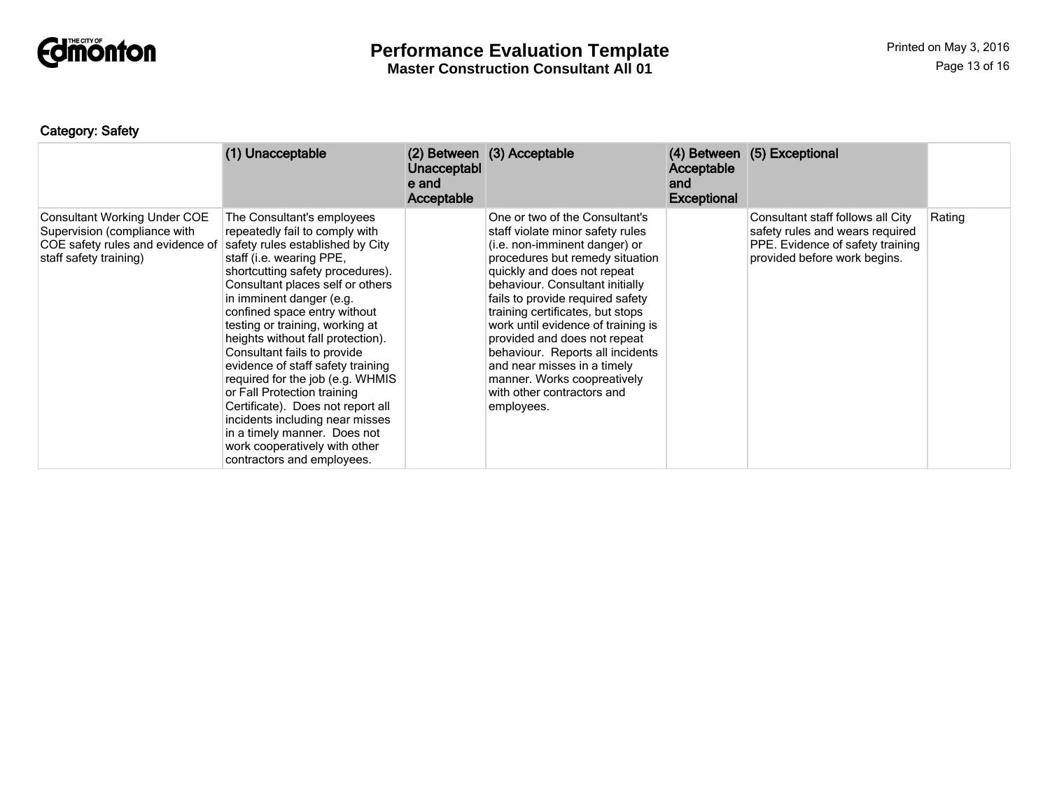

**Master Construction Consultant All 01**

### Category: Safety

|                                                                                                                                   | (1) Unacceptable                                                                                                                                                                                                                                                                                                                                                                                                                                                                                                                                                                                                                                       | <b>Unacceptabl</b><br>e and<br>Acceptable | (2) Between (3) Acceptable                                                                                                                                                                                                                                                                                                                                                                                                                                                                           | Acceptable<br>and<br><b>Exceptional</b> | (4) Between (5) Exceptional                                                                                                              |        |
|-----------------------------------------------------------------------------------------------------------------------------------|--------------------------------------------------------------------------------------------------------------------------------------------------------------------------------------------------------------------------------------------------------------------------------------------------------------------------------------------------------------------------------------------------------------------------------------------------------------------------------------------------------------------------------------------------------------------------------------------------------------------------------------------------------|-------------------------------------------|------------------------------------------------------------------------------------------------------------------------------------------------------------------------------------------------------------------------------------------------------------------------------------------------------------------------------------------------------------------------------------------------------------------------------------------------------------------------------------------------------|-----------------------------------------|------------------------------------------------------------------------------------------------------------------------------------------|--------|
| <b>Consultant Working Under COE</b><br>Supervision (compliance with<br>COE safety rules and evidence of<br>staff safety training) | The Consultant's employees<br>repeatedly fail to comply with<br>safety rules established by City<br>staff (i.e. wearing PPE,<br>shortcutting safety procedures).<br>Consultant places self or others<br>in imminent danger (e.g.<br>confined space entry without<br>testing or training, working at<br>heights without fall protection).<br>Consultant fails to provide<br>evidence of staff safety training<br>required for the job (e.g. WHMIS<br>or Fall Protection training<br>Certificate). Does not report all<br>incidents including near misses<br>in a timely manner. Does not<br>work cooperatively with other<br>contractors and employees. |                                           | One or two of the Consultant's<br>staff violate minor safety rules<br>(i.e. non-imminent danger) or<br>procedures but remedy situation<br>quickly and does not repeat<br>behaviour. Consultant initially<br>fails to provide required safety<br>training certificates, but stops<br>work until evidence of training is<br>provided and does not repeat<br>behaviour. Reports all incidents<br>and near misses in a timely<br>manner. Works coopreatively<br>with other contractors and<br>employees. |                                         | Consultant staff follows all City<br>safety rules and wears required<br>PPE. Evidence of safety training<br>provided before work begins. | Rating |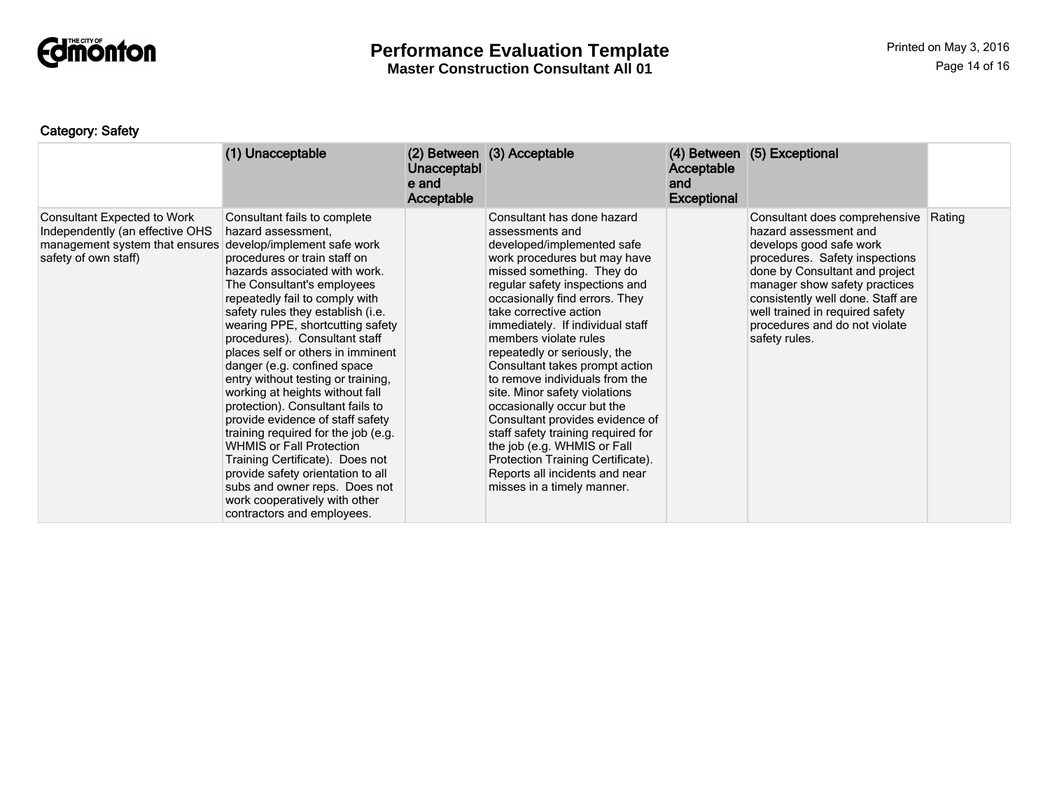

**Master Construction Consultant All 01**

### Category: Safety

|                                                                                                                                 | (1) Unacceptable                                                                                                                                                                                                                                                                                                                                                                                                                                                                                                                                                                                                                                                                                                                                                                                    | <b>Unacceptabl</b><br>e and<br>Acceptable | (2) Between (3) Acceptable                                                                                                                                                                                                                                                                                                                                                                                                                                                                                                                                                                                                                                                          | Acceptable<br>and<br><b>Exceptional</b> | (4) Between (5) Exceptional                                                                                                                                                                                                                                                                                      |        |
|---------------------------------------------------------------------------------------------------------------------------------|-----------------------------------------------------------------------------------------------------------------------------------------------------------------------------------------------------------------------------------------------------------------------------------------------------------------------------------------------------------------------------------------------------------------------------------------------------------------------------------------------------------------------------------------------------------------------------------------------------------------------------------------------------------------------------------------------------------------------------------------------------------------------------------------------------|-------------------------------------------|-------------------------------------------------------------------------------------------------------------------------------------------------------------------------------------------------------------------------------------------------------------------------------------------------------------------------------------------------------------------------------------------------------------------------------------------------------------------------------------------------------------------------------------------------------------------------------------------------------------------------------------------------------------------------------------|-----------------------------------------|------------------------------------------------------------------------------------------------------------------------------------------------------------------------------------------------------------------------------------------------------------------------------------------------------------------|--------|
| <b>Consultant Expected to Work</b><br>Independently (an effective OHS<br>management system that ensures<br>safety of own staff) | Consultant fails to complete<br>hazard assessment,<br>develop/implement safe work<br>procedures or train staff on<br>hazards associated with work.<br>The Consultant's employees<br>repeatedly fail to comply with<br>safety rules they establish (i.e.<br>wearing PPE, shortcutting safety<br>procedures). Consultant staff<br>places self or others in imminent<br>danger (e.g. confined space<br>entry without testing or training,<br>working at heights without fall<br>protection). Consultant fails to<br>provide evidence of staff safety<br>training required for the job (e.g.<br><b>WHMIS or Fall Protection</b><br>Training Certificate). Does not<br>provide safety orientation to all<br>subs and owner reps. Does not<br>work cooperatively with other<br>contractors and employees. |                                           | Consultant has done hazard<br>assessments and<br>developed/implemented safe<br>work procedures but may have<br>missed something. They do<br>regular safety inspections and<br>occasionally find errors. They<br>take corrective action<br>immediately. If individual staff<br>members violate rules<br>repeatedly or seriously, the<br>Consultant takes prompt action<br>to remove individuals from the<br>site. Minor safety violations<br>occasionally occur but the<br>Consultant provides evidence of<br>staff safety training required for<br>the job (e.g. WHMIS or Fall<br>Protection Training Certificate).<br>Reports all incidents and near<br>misses in a timely manner. |                                         | Consultant does comprehensive<br>hazard assessment and<br>develops good safe work<br>procedures. Safety inspections<br>done by Consultant and project<br>manager show safety practices<br>consistently well done. Staff are<br>well trained in required safety<br>procedures and do not violate<br>safety rules. | Rating |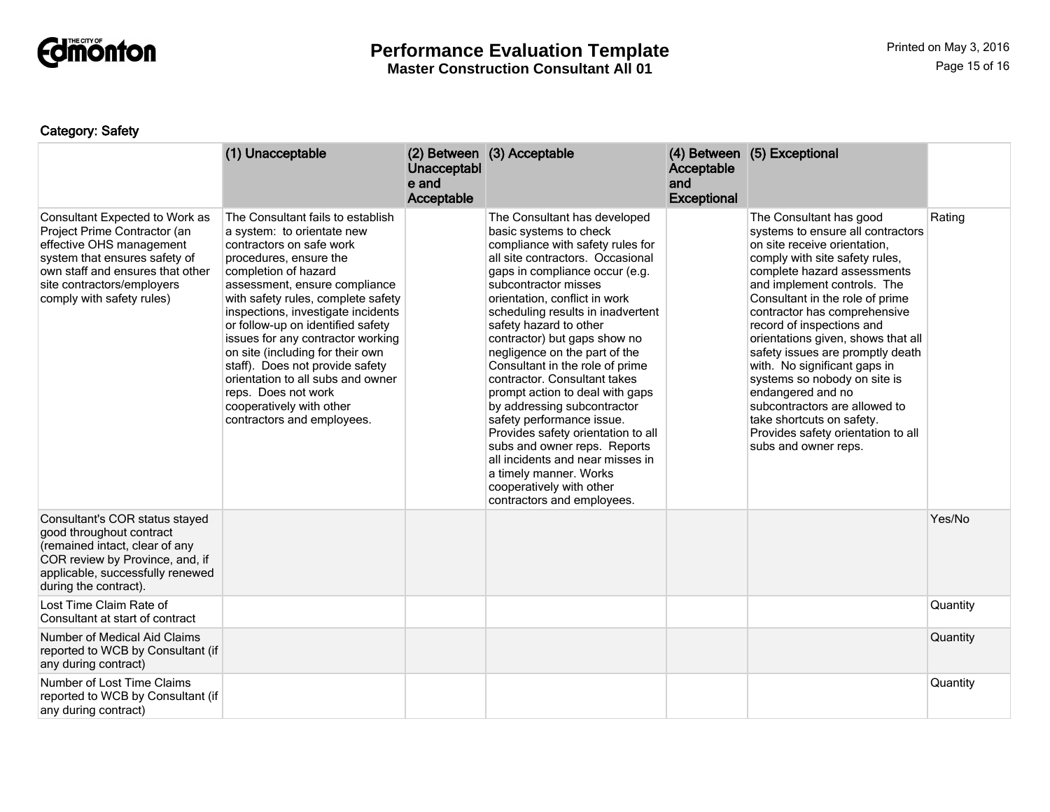

**Master Construction Consultant All 01**

### Category: Safety

|                                                                                                                                                                                                                            | (1) Unacceptable                                                                                                                                                                                                                                                                                                                                                                                                                                                                                                                  | Unacceptabl<br>e and<br>Acceptable | (2) Between (3) Acceptable                                                                                                                                                                                                                                                                                                                                                                                                                                                                                                                                                                                                                                                                                                | Acceptable<br>and<br><b>Exceptional</b> | (4) Between (5) Exceptional                                                                                                                                                                                                                                                                                                                                                                                                                                                                                                                                                             |          |
|----------------------------------------------------------------------------------------------------------------------------------------------------------------------------------------------------------------------------|-----------------------------------------------------------------------------------------------------------------------------------------------------------------------------------------------------------------------------------------------------------------------------------------------------------------------------------------------------------------------------------------------------------------------------------------------------------------------------------------------------------------------------------|------------------------------------|---------------------------------------------------------------------------------------------------------------------------------------------------------------------------------------------------------------------------------------------------------------------------------------------------------------------------------------------------------------------------------------------------------------------------------------------------------------------------------------------------------------------------------------------------------------------------------------------------------------------------------------------------------------------------------------------------------------------------|-----------------------------------------|-----------------------------------------------------------------------------------------------------------------------------------------------------------------------------------------------------------------------------------------------------------------------------------------------------------------------------------------------------------------------------------------------------------------------------------------------------------------------------------------------------------------------------------------------------------------------------------------|----------|
| Consultant Expected to Work as<br>Project Prime Contractor (an<br>effective OHS management<br>system that ensures safety of<br>own staff and ensures that other<br>site contractors/employers<br>comply with safety rules) | The Consultant fails to establish<br>a system: to orientate new<br>contractors on safe work<br>procedures, ensure the<br>completion of hazard<br>assessment, ensure compliance<br>with safety rules, complete safety<br>inspections, investigate incidents<br>or follow-up on identified safety<br>issues for any contractor working<br>on site (including for their own<br>staff). Does not provide safety<br>orientation to all subs and owner<br>reps. Does not work<br>cooperatively with other<br>contractors and employees. |                                    | The Consultant has developed<br>basic systems to check<br>compliance with safety rules for<br>all site contractors. Occasional<br>gaps in compliance occur (e.g.<br>subcontractor misses<br>orientation, conflict in work<br>scheduling results in inadvertent<br>safety hazard to other<br>contractor) but gaps show no<br>negligence on the part of the<br>Consultant in the role of prime<br>contractor. Consultant takes<br>prompt action to deal with gaps<br>by addressing subcontractor<br>safety performance issue.<br>Provides safety orientation to all<br>subs and owner reps. Reports<br>all incidents and near misses in<br>a timely manner. Works<br>cooperatively with other<br>contractors and employees. |                                         | The Consultant has good<br>systems to ensure all contractors<br>on site receive orientation,<br>comply with site safety rules,<br>complete hazard assessments<br>and implement controls. The<br>Consultant in the role of prime<br>contractor has comprehensive<br>record of inspections and<br>orientations given, shows that all<br>safety issues are promptly death<br>with. No significant gaps in<br>systems so nobody on site is<br>endangered and no<br>subcontractors are allowed to<br>take shortcuts on safety.<br>Provides safety orientation to all<br>subs and owner reps. | Rating   |
| Consultant's COR status stayed<br>good throughout contract<br>(remained intact, clear of any<br>COR review by Province, and, if<br>applicable, successfully renewed<br>during the contract).                               |                                                                                                                                                                                                                                                                                                                                                                                                                                                                                                                                   |                                    |                                                                                                                                                                                                                                                                                                                                                                                                                                                                                                                                                                                                                                                                                                                           |                                         |                                                                                                                                                                                                                                                                                                                                                                                                                                                                                                                                                                                         | Yes/No   |
| Lost Time Claim Rate of<br>Consultant at start of contract                                                                                                                                                                 |                                                                                                                                                                                                                                                                                                                                                                                                                                                                                                                                   |                                    |                                                                                                                                                                                                                                                                                                                                                                                                                                                                                                                                                                                                                                                                                                                           |                                         |                                                                                                                                                                                                                                                                                                                                                                                                                                                                                                                                                                                         | Quantity |
| Number of Medical Aid Claims<br>reported to WCB by Consultant (if<br>any during contract)                                                                                                                                  |                                                                                                                                                                                                                                                                                                                                                                                                                                                                                                                                   |                                    |                                                                                                                                                                                                                                                                                                                                                                                                                                                                                                                                                                                                                                                                                                                           |                                         |                                                                                                                                                                                                                                                                                                                                                                                                                                                                                                                                                                                         | Quantity |
| Number of Lost Time Claims<br>reported to WCB by Consultant (if<br>any during contract)                                                                                                                                    |                                                                                                                                                                                                                                                                                                                                                                                                                                                                                                                                   |                                    |                                                                                                                                                                                                                                                                                                                                                                                                                                                                                                                                                                                                                                                                                                                           |                                         |                                                                                                                                                                                                                                                                                                                                                                                                                                                                                                                                                                                         | Quantity |